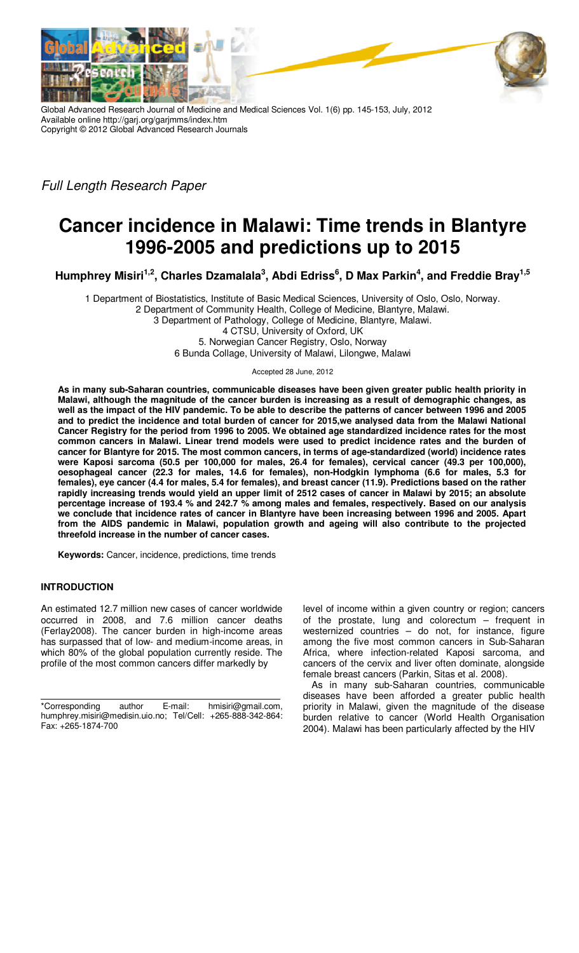

Global Advanced Research Journal of Medicine and Medical Sciences Vol. 1(6) pp. 145-153, July, 2012 Available online http://garj.org/garjmms/index.htm Copyright © 2012 Global Advanced Research Journals

Full Length Research Paper

# **Cancer incidence in Malawi: Time trends in Blantyre 1996-2005 and predictions up to 2015**

**Humphrey Misiri1,2, Charles Dzamalala<sup>3</sup> , Abdi Edriss<sup>6</sup> , D Max Parkin<sup>4</sup> , and Freddie Bray1,5** 

1 Department of Biostatistics, Institute of Basic Medical Sciences, University of Oslo, Oslo, Norway. 2 Department of Community Health, College of Medicine, Blantyre, Malawi. 3 Department of Pathology, College of Medicine, Blantyre, Malawi.

4 CTSU, University of Oxford, UK 5. Norwegian Cancer Registry, Oslo, Norway 6 Bunda Collage, University of Malawi, Lilongwe, Malawi

Accepted 28 June, 2012

**As in many sub-Saharan countries, communicable diseases have been given greater public health priority in Malawi, although the magnitude of the cancer burden is increasing as a result of demographic changes, as well as the impact of the HIV pandemic. To be able to describe the patterns of cancer between 1996 and 2005 and to predict the incidence and total burden of cancer for 2015,we analysed data from the Malawi National Cancer Registry for the period from 1996 to 2005. We obtained age standardized incidence rates for the most common cancers in Malawi. Linear trend models were used to predict incidence rates and the burden of cancer for Blantyre for 2015. The most common cancers, in terms of age-standardized (world) incidence rates were Kaposi sarcoma (50.5 per 100,000 for males, 26.4 for females), cervical cancer (49.3 per 100,000), oesophageal cancer (22.3 for males, 14.6 for females), non-Hodgkin lymphoma (6.6 for males, 5.3 for females), eye cancer (4.4 for males, 5.4 for females), and breast cancer (11.9). Predictions based on the rather rapidly increasing trends would yield an upper limit of 2512 cases of cancer in Malawi by 2015; an absolute percentage increase of 193.4 % and 242.7 % among males and females, respectively. Based on our analysis we conclude that incidence rates of cancer in Blantyre have been increasing between 1996 and 2005. Apart from the AIDS pandemic in Malawi, population growth and ageing will also contribute to the projected threefold increase in the number of cancer cases.** 

**Keywords:** Cancer, incidence, predictions, time trends

# **INTRODUCTION**

An estimated 12.7 million new cases of cancer worldwide occurred in 2008, and 7.6 million cancer deaths (Ferlay2008). The cancer burden in high-income areas has surpassed that of low- and medium-income areas, in which 80% of the global population currently reside. The profile of the most common cancers differ markedly by

\*Corresponding author E-mail: hmisiri@gmail.com, humphrey.misiri@medisin.uio.no; Tel/Cell: +265-888-342-864: Fax: +265-1874-700

level of income within a given country or region; cancers of the prostate, lung and colorectum – frequent in westernized countries – do not, for instance, figure among the five most common cancers in Sub-Saharan Africa, where infection-related Kaposi sarcoma, and cancers of the cervix and liver often dominate, alongside female breast cancers (Parkin, Sitas et al. 2008).

As in many sub-Saharan countries, communicable diseases have been afforded a greater public health priority in Malawi, given the magnitude of the disease burden relative to cancer (World Health Organisation 2004). Malawi has been particularly affected by the HIV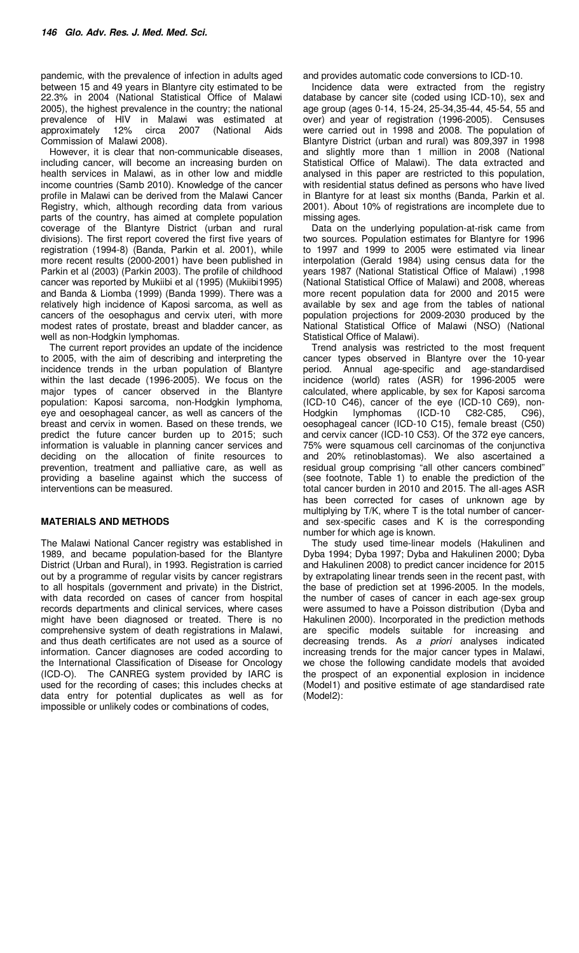pandemic, with the prevalence of infection in adults aged between 15 and 49 years in Blantyre city estimated to be 22.3% in 2004 (National Statistical Office of Malawi 2005), the highest prevalence in the country; the national prevalence of HIV in Malawi was estimated at approximately 12% circa 2007 (National Aids approximately 12% circa Commission of Malawi 2008).

However, it is clear that non-communicable diseases, including cancer, will become an increasing burden on health services in Malawi, as in other low and middle income countries (Samb 2010). Knowledge of the cancer profile in Malawi can be derived from the Malawi Cancer Registry, which, although recording data from various parts of the country, has aimed at complete population coverage of the Blantyre District (urban and rural divisions). The first report covered the first five years of registration (1994-8) (Banda, Parkin et al. 2001), while more recent results (2000-2001) have been published in Parkin et al (2003) (Parkin 2003). The profile of childhood cancer was reported by Mukiibi et al (1995) (Mukiibi1995) and Banda & Liomba (1999) (Banda 1999). There was a relatively high incidence of Kaposi sarcoma, as well as cancers of the oesophagus and cervix uteri, with more modest rates of prostate, breast and bladder cancer, as well as non-Hodgkin lymphomas.

The current report provides an update of the incidence to 2005, with the aim of describing and interpreting the incidence trends in the urban population of Blantyre within the last decade (1996-2005). We focus on the major types of cancer observed in the Blantyre population: Kaposi sarcoma, non-Hodgkin lymphoma, eye and oesophageal cancer, as well as cancers of the breast and cervix in women. Based on these trends, we predict the future cancer burden up to 2015; such information is valuable in planning cancer services and deciding on the allocation of finite resources to prevention, treatment and palliative care, as well as providing a baseline against which the success of interventions can be measured.

# **MATERIALS AND METHODS**

The Malawi National Cancer registry was established in 1989, and became population-based for the Blantyre District (Urban and Rural), in 1993. Registration is carried out by a programme of regular visits by cancer registrars to all hospitals (government and private) in the District, with data recorded on cases of cancer from hospital records departments and clinical services, where cases might have been diagnosed or treated. There is no comprehensive system of death registrations in Malawi, and thus death certificates are not used as a source of information. Cancer diagnoses are coded according to the International Classification of Disease for Oncology (ICD-O). The CANREG system provided by IARC is used for the recording of cases; this includes checks at data entry for potential duplicates as well as for impossible or unlikely codes or combinations of codes,

and provides automatic code conversions to ICD-10.

Incidence data were extracted from the registry database by cancer site (coded using ICD-10), sex and age group (ages 0-14, 15-24, 25-34,35-44, 45-54, 55 and over) and year of registration (1996-2005). Censuses were carried out in 1998 and 2008. The population of Blantyre District (urban and rural) was 809,397 in 1998 and slightly more than 1 million in 2008 (National Statistical Office of Malawi). The data extracted and analysed in this paper are restricted to this population, with residential status defined as persons who have lived in Blantyre for at least six months (Banda, Parkin et al. 2001). About 10% of registrations are incomplete due to missing ages.

Data on the underlying population-at-risk came from two sources. Population estimates for Blantyre for 1996 to 1997 and 1999 to 2005 were estimated via linear interpolation (Gerald 1984) using census data for the years 1987 (National Statistical Office of Malawi) ,1998 (National Statistical Office of Malawi) and 2008, whereas more recent population data for 2000 and 2015 were available by sex and age from the tables of national population projections for 2009-2030 produced by the National Statistical Office of Malawi (NSO) (National Statistical Office of Malawi).

Trend analysis was restricted to the most frequent cancer types observed in Blantyre over the 10-year period. Annual age-specific and age-standardised incidence (world) rates (ASR) for 1996-2005 were calculated, where applicable, by sex for Kaposi sarcoma (ICD-10 C46), cancer of the eye (ICD-10 C69), non-<br>Hodgkin lymphomas (ICD-10 C82-C85, C96), Hodgkin lymphomas (ICD-10 C82-C85, C96), oesophageal cancer (ICD-10 C15), female breast (C50) and cervix cancer (ICD-10 C53). Of the 372 eye cancers, 75% were squamous cell carcinomas of the conjunctiva and 20% retinoblastomas). We also ascertained a residual group comprising "all other cancers combined" (see footnote, Table 1) to enable the prediction of the total cancer burden in 2010 and 2015. The all-ages ASR has been corrected for cases of unknown age by multiplying by T/K, where T is the total number of cancerand sex-specific cases and K is the corresponding number for which age is known.

The study used time-linear models (Hakulinen and Dyba 1994; Dyba 1997; Dyba and Hakulinen 2000; Dyba and Hakulinen 2008) to predict cancer incidence for 2015 by extrapolating linear trends seen in the recent past, with the base of prediction set at 1996-2005. In the models, the number of cases of cancer in each age-sex group were assumed to have a Poisson distribution (Dyba and Hakulinen 2000). Incorporated in the prediction methods are specific models suitable for increasing and decreasing trends. As a priori analyses indicated increasing trends for the major cancer types in Malawi, we chose the following candidate models that avoided the prospect of an exponential explosion in incidence (Model1) and positive estimate of age standardised rate (Model2):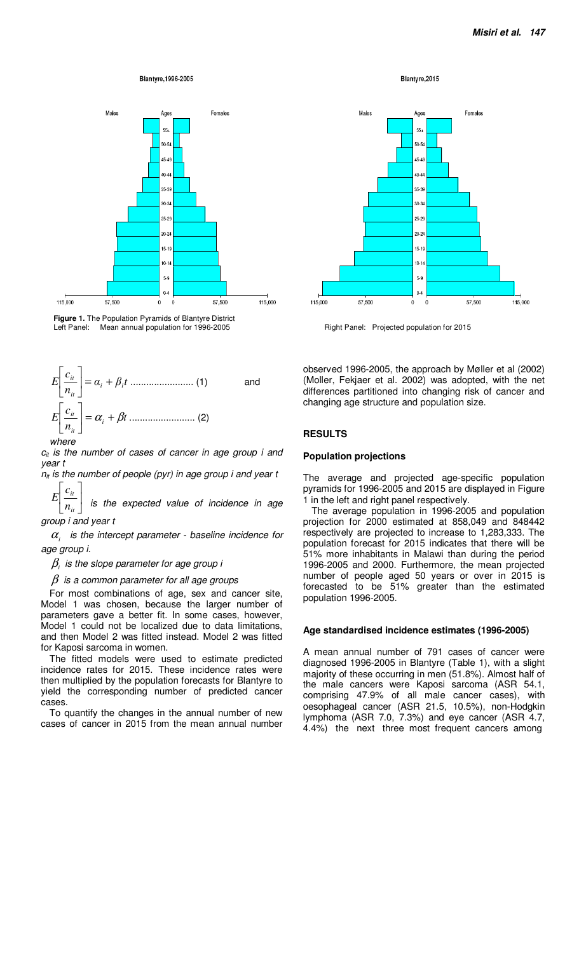#### Blantyre, 1996-2005



Figure 1. The Population Pyramids of Blantyre District<br>Left Panel: Mean annual population for 1996-2005



 $c_{it}$  is the number of cases of cancer in age group i and year t

 $n_{it}$  is the number of people (pyr) in age group i and year t 1  $\lceil$ *c*

 $\overline{\phantom{a}}$  $\boxed{n_{it}}$  $\mathbf{r}$ *it E* is the expected value of incidence in age

# group i and year t

 $\alpha$ <sub>i</sub> is the intercept parameter - baseline incidence for age group i.

 $\beta_{\scriptscriptstyle i}$  is the slope parameter for age group i

 $\beta$  is a common parameter for all age groups

For most combinations of age, sex and cancer site, Model 1 was chosen, because the larger number of parameters gave a better fit. In some cases, however, Model 1 could not be localized due to data limitations, and then Model 2 was fitted instead. Model 2 was fitted for Kaposi sarcoma in women.

The fitted models were used to estimate predicted incidence rates for 2015. These incidence rates were then multiplied by the population forecasts for Blantyre to yield the corresponding number of predicted cancer cases.

To quantify the changes in the annual number of new cases of cancer in 2015 from the mean annual number Blantyre, 2015



Right Panel: Projected population for 2015

observed 1996-2005, the approach by Møller et al (2002) (Moller, Fekjaer et al. 2002) was adopted, with the net differences partitioned into changing risk of cancer and changing age structure and population size.

## **RESULTS**

#### **Population projections**

The average and projected age-specific population pyramids for 1996-2005 and 2015 are displayed in Figure 1 in the left and right panel respectively.

The average population in 1996-2005 and population projection for 2000 estimated at 858,049 and 848442 respectively are projected to increase to 1,283,333. The population forecast for 2015 indicates that there will be 51% more inhabitants in Malawi than during the period 1996-2005 and 2000. Furthermore, the mean projected number of people aged 50 years or over in 2015 is forecasted to be 51% greater than the estimated population 1996-2005.

## **Age standardised incidence estimates (1996-2005)**

A mean annual number of 791 cases of cancer were diagnosed 1996-2005 in Blantyre (Table 1), with a slight majority of these occurring in men (51.8%). Almost half of the male cancers were Kaposi sarcoma (ASR 54.1, comprising 47.9% of all male cancer cases), with oesophageal cancer (ASR 21.5, 10.5%), non-Hodgkin lymphoma (ASR 7.0, 7.3%) and eye cancer (ASR 4.7, 4.4%) the next three most frequent cancers among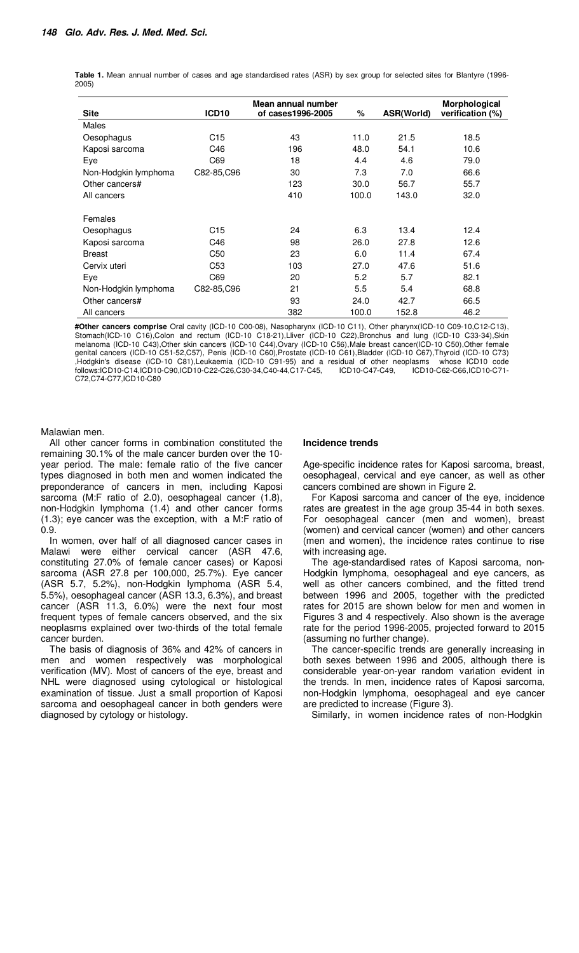**Table 1.** Mean annual number of cases and age standardised rates (ASR) by sex group for selected sites for Blantyre (1996- 2005)

| <b>Site</b>          | ICD <sub>10</sub> | Mean annual number<br>of cases1996-2005 | %     | ASR(World) | Morphological<br>verification (%) |
|----------------------|-------------------|-----------------------------------------|-------|------------|-----------------------------------|
|                      |                   |                                         |       |            |                                   |
| <b>Males</b>         |                   |                                         |       |            |                                   |
| Oesophagus           | C <sub>15</sub>   | 43                                      | 11.0  | 21.5       | 18.5                              |
| Kaposi sarcoma       | C46               | 196                                     | 48.0  | 54.1       | 10.6                              |
| Eye                  | C69               | 18                                      | 4.4   | 4.6        | 79.0                              |
| Non-Hodgkin lymphoma | C82-85, C96       | 30                                      | 7.3   | 7.0        | 66.6                              |
| Other cancers#       |                   | 123                                     | 30.0  | 56.7       | 55.7                              |
| All cancers          |                   | 410                                     | 100.0 | 143.0      | 32.0                              |
| Females              |                   |                                         |       |            |                                   |
| Oesophagus           | C <sub>15</sub>   | 24                                      | 6.3   | 13.4       | 12.4                              |
| Kaposi sarcoma       | C46               | 98                                      | 26.0  | 27.8       | 12.6                              |
| <b>Breast</b>        | C50               | 23                                      | 6.0   | 11.4       | 67.4                              |
| Cervix uteri         | C <sub>53</sub>   | 103                                     | 27.0  | 47.6       | 51.6                              |
| Eye                  | C69               | 20                                      | 5.2   | 5.7        | 82.1                              |
| Non-Hodgkin lymphoma | C82-85, C96       | 21                                      | 5.5   | 5.4        | 68.8                              |
| Other cancers#       |                   | 93                                      | 24.0  | 42.7       | 66.5                              |
| All cancers          |                   | 382                                     | 100.0 | 152.8      | 46.2                              |

**#Other cancers comprise** Oral cavity (ICD-10 C00-08), Nasopharynx (ICD-10 C11), Other pharynx(ICD-10 C09-10,C12-C13), Stomach(ICD-10 C16),Colon and rectum (ICD-10 C18-21),Lliver (ICD-10 C22),Bronchus and lung (ICD-10 C33-34),Skin melanoma (ICD-10 C43),Other skin cancers (ICD-10 C44),Ovary (ICD-10 C56),Male breast cancer(ICD-10 C50),Other female genital cancers (ICD-10 C51-52,C57), Penis (ICD-10 C60),Prostate (ICD-10 C61),Bladder (ICD-10 C67),Thyroid (ICD-10 C73) ,<br>Hodgkin's disease (ICD-10 C81),Leukaemia (ICD-10 C91-95) and a residual of other neoplasms whose ICD10 code<br>follows:ICD10-C14,ICD10-C90,ICD10-C22-C26,C30-34,C40-44,C17-C45, ICD10-C47-C49, ICD10-C62-C66,ICD10-C71follows:ICD10-C14,ICD10-C90,ICD10-C22-C26,C30-34,C40-44,C17-C45, C72,C74-C77,ICD10-C80

## Malawian men.

All other cancer forms in combination constituted the remaining 30.1% of the male cancer burden over the 10 year period. The male: female ratio of the five cancer types diagnosed in both men and women indicated the preponderance of cancers in men, including Kaposi sarcoma (M:F ratio of 2.0), oesophageal cancer (1.8), non-Hodgkin lymphoma (1.4) and other cancer forms (1.3); eye cancer was the exception, with a M:F ratio of 0.9.

In women, over half of all diagnosed cancer cases in Malawi were either cervical cancer (ASR 47.6, constituting 27.0% of female cancer cases) or Kaposi sarcoma (ASR 27.8 per 100,000, 25.7%). Eye cancer (ASR 5.7, 5.2%), non-Hodgkin lymphoma (ASR 5.4, 5.5%), oesophageal cancer (ASR 13.3, 6.3%), and breast cancer (ASR 11.3, 6.0%) were the next four most frequent types of female cancers observed, and the six neoplasms explained over two-thirds of the total female cancer burden.

The basis of diagnosis of 36% and 42% of cancers in men and women respectively was morphological verification (MV). Most of cancers of the eye, breast and NHL were diagnosed using cytological or histological examination of tissue. Just a small proportion of Kaposi sarcoma and oesophageal cancer in both genders were diagnosed by cytology or histology.

#### **Incidence trends**

Age-specific incidence rates for Kaposi sarcoma, breast, oesophageal, cervical and eye cancer, as well as other cancers combined are shown in Figure 2.

For Kaposi sarcoma and cancer of the eye, incidence rates are greatest in the age group 35-44 in both sexes. For oesophageal cancer (men and women), breast (women) and cervical cancer (women) and other cancers (men and women), the incidence rates continue to rise with increasing age.

The age-standardised rates of Kaposi sarcoma, non-Hodgkin lymphoma, oesophageal and eye cancers, as well as other cancers combined, and the fitted trend between 1996 and 2005, together with the predicted rates for 2015 are shown below for men and women in Figures 3 and 4 respectively. Also shown is the average rate for the period 1996-2005, projected forward to 2015 (assuming no further change).

The cancer-specific trends are generally increasing in both sexes between 1996 and 2005, although there is considerable year-on-year random variation evident in the trends. In men, incidence rates of Kaposi sarcoma, non-Hodgkin lymphoma, oesophageal and eye cancer are predicted to increase (Figure 3).

Similarly, in women incidence rates of non-Hodgkin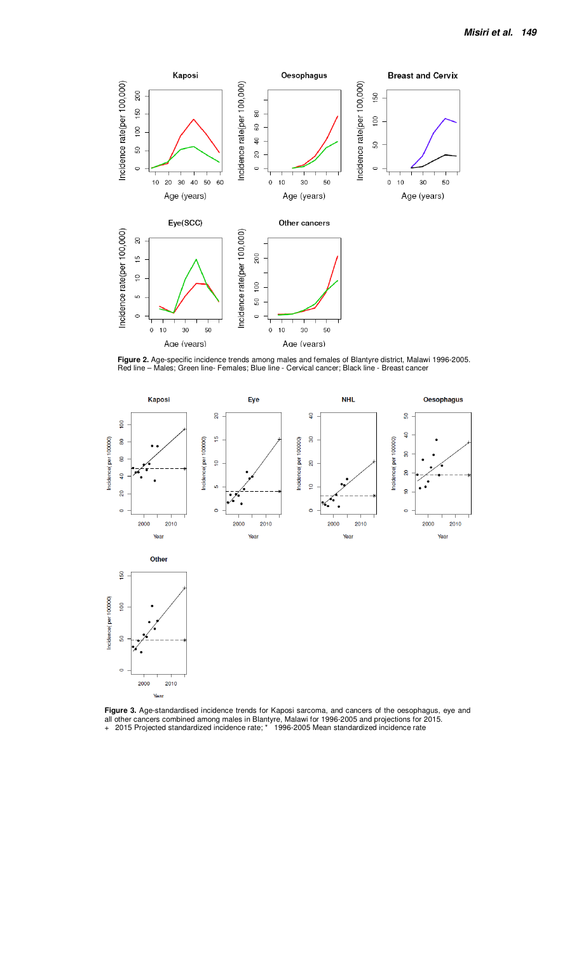

**Figure 2.** Age-specific incidence trends among males and females of Blantyre district, Malawi 1996-2005. Red line – Males; Green line- Females; Blue line - Cervical cancer; Black line - Breast cancer



**Figure 3.** Age-standardised incidence trends for Kaposi sarcoma, and cancers of the oesophagus, eye and all other cancers combined among males in Blantyre, Malawi for 1996-2005 and projections for 2015. + 2015 Projected standardized incidence rate; \* 1996-2005 Mean standardized incidence rate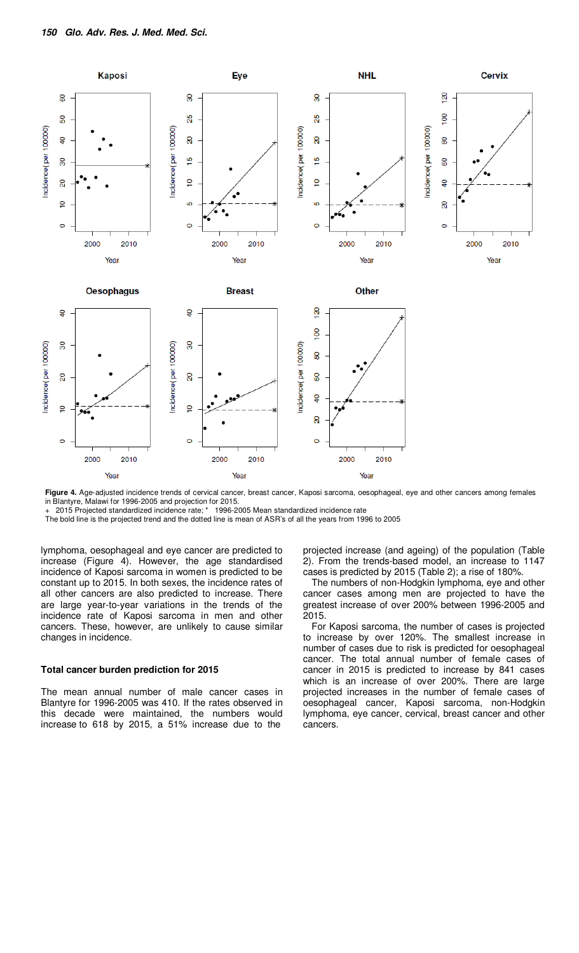

**Figure 4.** Age-adjusted incidence trends of cervical cancer, breast cancer, Kaposi sarcoma, oesophageal, eye and other cancers among females in Blantyre, Malawi for 1996-2005 and projection for 2015.<br>+ 2015 Projected standardized incidence rate; \* 1996-2005 Mean standardized incidence rate

2015 Projected standardized incidence rate; \*

The bold line is the projected trend and the dotted line is mean of ASR's of all the years from 1996 to 2005

lymphoma, oesophageal and eye cancer are predicted to increase (Figure 4). However, the age standardised incidence of Kaposi sarcoma in women is predicted to be constant up to 2015. In both sexes, the incidence rates of all other cancers are also predicted to increase. There are large year-to-year variations in the trends of the incidence rate of Kaposi sarcoma in men and other cancers. These, however, are unlikely to cause similar changes in incidence.

## **Total cancer burden prediction for 2015**

The mean annual number of male cancer cases in Blantyre for 1996-2005 was 410. If the rates observed in this decade were maintained, the numbers would increase to 618 by 2015, a 51% increase due to the

projected increase (and ageing) of the population (Table 2). From the trends-based model, an increase to 1147 cases is predicted by 2015 (Table 2); a rise of 180%.

The numbers of non-Hodgkin lymphoma, eye and other cancer cases among men are projected to have the greatest increase of over 200% between 1996-2005 and 2015.

For Kaposi sarcoma, the number of cases is projected to increase by over 120%. The smallest increase in number of cases due to risk is predicted for oesophageal cancer. The total annual number of female cases of cancer in 2015 is predicted to increase by 841 cases which is an increase of over 200%. There are large projected increases in the number of female cases of oesophageal cancer, Kaposi sarcoma, non-Hodgkin lymphoma, eye cancer, cervical, breast cancer and other cancers.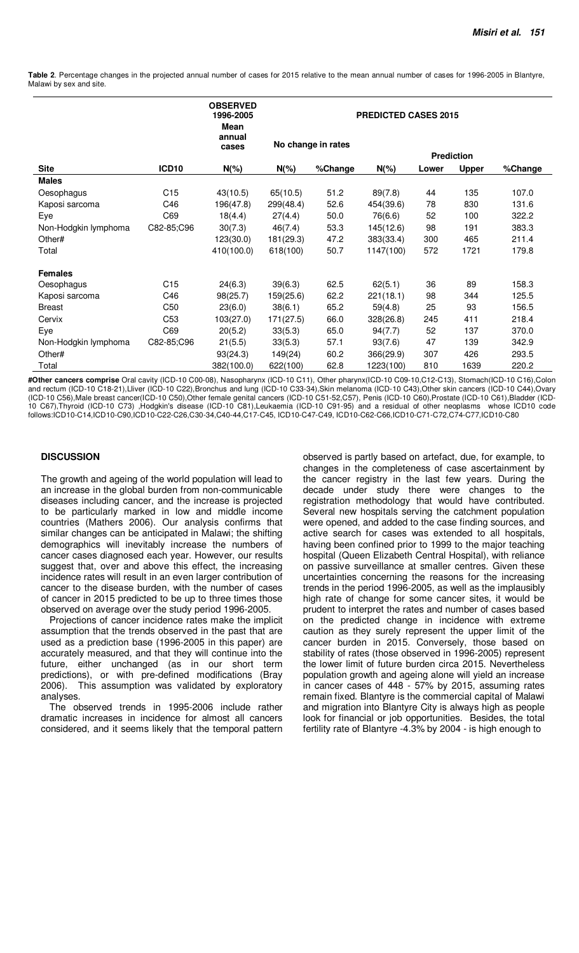**Table 2**. Percentage changes in the projected annual number of cases for 2015 relative to the mean annual number of cases for 1996-2005 in Blantyre, Malawi by sex and site.

|                      |                   | <b>OBSERVED</b><br>1996-2005<br><b>Mean</b> | <b>PREDICTED CASES 2015</b> |         |                   |       |              |         |
|----------------------|-------------------|---------------------------------------------|-----------------------------|---------|-------------------|-------|--------------|---------|
|                      |                   | annual<br>cases                             | No change in rates          |         |                   |       |              |         |
|                      |                   |                                             |                             |         | <b>Prediction</b> |       |              |         |
| <b>Site</b>          | ICD <sub>10</sub> | $N(\%)$                                     | $N(\%)$                     | %Change | $N(\%)$           | Lower | <b>Upper</b> | %Change |
| <b>Males</b>         |                   |                                             |                             |         |                   |       |              |         |
| Oesophagus           | C15               | 43(10.5)                                    | 65(10.5)                    | 51.2    | 89(7.8)           | 44    | 135          | 107.0   |
| Kaposi sarcoma       | C46               | 196(47.8)                                   | 299(48.4)                   | 52.6    | 454(39.6)         | 78    | 830          | 131.6   |
| Eye                  | C69               | 18(4.4)                                     | 27(4.4)                     | 50.0    | 76(6.6)           | 52    | 100          | 322.2   |
| Non-Hodgkin lymphoma | C82-85;C96        | 30(7.3)                                     | 46(7.4)                     | 53.3    | 145(12.6)         | 98    | 191          | 383.3   |
| Other#               |                   | 123(30.0)                                   | 181(29.3)                   | 47.2    | 383(33.4)         | 300   | 465          | 211.4   |
| Total                |                   | 410(100.0)                                  | 618(100)                    | 50.7    | 1147(100)         | 572   | 1721         | 179.8   |
| <b>Females</b>       |                   |                                             |                             |         |                   |       |              |         |
| Oesophagus           | C15               | 24(6.3)                                     | 39(6.3)                     | 62.5    | 62(5.1)           | 36    | 89           | 158.3   |
| Kaposi sarcoma       | C46               | 98(25.7)                                    | 159(25.6)                   | 62.2    | 221(18.1)         | 98    | 344          | 125.5   |
| <b>Breast</b>        | C <sub>50</sub>   | 23(6.0)                                     | 38(6.1)                     | 65.2    | 59(4.8)           | 25    | 93           | 156.5   |
| Cervix               | C <sub>53</sub>   | 103(27.0)                                   | 171(27.5)                   | 66.0    | 328(26.8)         | 245   | 411          | 218.4   |
| Eye                  | C69               | 20(5.2)                                     | 33(5.3)                     | 65.0    | 94(7.7)           | 52    | 137          | 370.0   |
| Non-Hodgkin lymphoma | C82-85;C96        | 21(5.5)                                     | 33(5.3)                     | 57.1    | 93(7.6)           | 47    | 139          | 342.9   |
| Other#               |                   | 93(24.3)                                    | 149(24)                     | 60.2    | 366(29.9)         | 307   | 426          | 293.5   |
| Total                |                   | 382(100.0)                                  | 622(100)                    | 62.8    | 1223(100)         | 810   | 1639         | 220.2   |

**#Other cancers comprise** Oral cavity (ICD-10 C00-08), Nasopharynx (ICD-10 C11), Other pharynx(ICD-10 C09-10,C12-C13), Stomach(ICD-10 C16),Colon and rectum (ICD-10 C18-21),Lliver (ICD-10 C22),Bronchus and lung (ICD-10 C33-34),Skin melanoma (ICD-10 C43),Other skin cancers (ICD-10 C44),Ovary (ICD-10 C56),Male breast cancer(ICD-10 C50),Other female genital cancers (ICD-10 C51-52,C57), Penis (ICD-10 C60),Prostate (ICD-10 C61),Bladder (ICD-10 C67),Thyroid (ICD-10 C73) ,Hodgkin's disease (ICD-10 C81),Leukaemia (ICD-10 C91-95) and a residual of other neoplasms follows:ICD10-C14,ICD10-C90,ICD10-C22-C26,C30-34,C40-44,C17-C45, ICD10-C47-C49, ICD10-C62-C66,ICD10-C71-C72,C74-C77,ICD10-C80

## **DISCUSSION**

The growth and ageing of the world population will lead to an increase in the global burden from non-communicable diseases including cancer, and the increase is projected to be particularly marked in low and middle income countries (Mathers 2006). Our analysis confirms that similar changes can be anticipated in Malawi; the shifting demographics will inevitably increase the numbers of cancer cases diagnosed each year. However, our results suggest that, over and above this effect, the increasing incidence rates will result in an even larger contribution of cancer to the disease burden, with the number of cases of cancer in 2015 predicted to be up to three times those observed on average over the study period 1996-2005.

Projections of cancer incidence rates make the implicit assumption that the trends observed in the past that are used as a prediction base (1996-2005 in this paper) are accurately measured, and that they will continue into the future, either unchanged (as in our short term predictions), or with pre-defined modifications (Bray 2006). This assumption was validated by exploratory analyses.

The observed trends in 1995-2006 include rather dramatic increases in incidence for almost all cancers considered, and it seems likely that the temporal pattern

observed is partly based on artefact, due, for example, to changes in the completeness of case ascertainment by the cancer registry in the last few years. During the decade under study there were changes to the registration methodology that would have contributed. Several new hospitals serving the catchment population were opened, and added to the case finding sources, and active search for cases was extended to all hospitals, having been confined prior to 1999 to the major teaching hospital (Queen Elizabeth Central Hospital), with reliance on passive surveillance at smaller centres. Given these uncertainties concerning the reasons for the increasing trends in the period 1996-2005, as well as the implausibly high rate of change for some cancer sites, it would be prudent to interpret the rates and number of cases based on the predicted change in incidence with extreme caution as they surely represent the upper limit of the cancer burden in 2015. Conversely, those based on stability of rates (those observed in 1996-2005) represent the lower limit of future burden circa 2015. Nevertheless population growth and ageing alone will yield an increase in cancer cases of 448 - 57% by 2015, assuming rates remain fixed. Blantyre is the commercial capital of Malawi and migration into Blantyre City is always high as people look for financial or job opportunities. Besides, the total fertility rate of Blantyre -4.3% by 2004 - is high enough to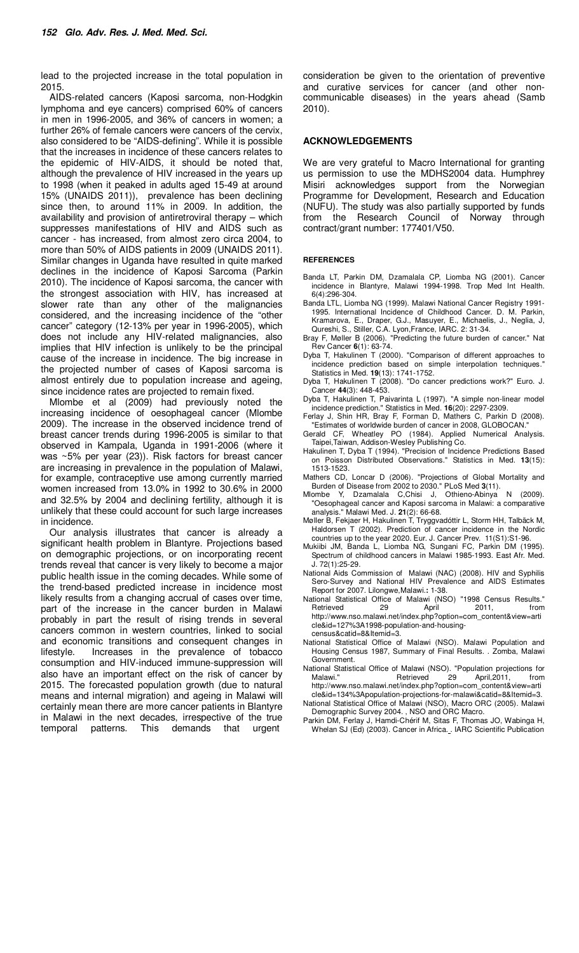lead to the projected increase in the total population in 2015.

AIDS-related cancers (Kaposi sarcoma, non-Hodgkin lymphoma and eye cancers) comprised 60% of cancers in men in 1996-2005, and 36% of cancers in women; a further 26% of female cancers were cancers of the cervix, also considered to be "AIDS-defining". While it is possible that the increases in incidence of these cancers relates to the epidemic of HIV-AIDS, it should be noted that, although the prevalence of HIV increased in the years up to 1998 (when it peaked in adults aged 15-49 at around 15% (UNAIDS 2011)), prevalence has been declining since then, to around 11% in 2009. In addition, the availability and provision of antiretroviral therapy – which suppresses manifestations of HIV and AIDS such as cancer - has increased, from almost zero circa 2004, to more than 50% of AIDS patients in 2009 (UNAIDS 2011). Similar changes in Uganda have resulted in quite marked declines in the incidence of Kaposi Sarcoma (Parkin 2010). The incidence of Kaposi sarcoma, the cancer with the strongest association with HIV, has increased at slower rate than any other of the malignancies considered, and the increasing incidence of the "other cancer" category (12-13% per year in 1996-2005), which does not include any HIV-related malignancies, also implies that HIV infection is unlikely to be the principal cause of the increase in incidence. The big increase in the projected number of cases of Kaposi sarcoma is almost entirely due to population increase and ageing, since incidence rates are projected to remain fixed.

Mlombe et al (2009) had previously noted the increasing incidence of oesophageal cancer (Mlombe 2009). The increase in the observed incidence trend of breast cancer trends during 1996-2005 is similar to that observed in Kampala, Uganda in 1991-2006 (where it was ~5% per year (23)). Risk factors for breast cancer are increasing in prevalence in the population of Malawi, for example, contraceptive use among currently married women increased from 13.0% in 1992 to 30.6% in 2000 and 32.5% by 2004 and declining fertility, although it is unlikely that these could account for such large increases in incidence.

Our analysis illustrates that cancer is already a significant health problem in Blantyre. Projections based on demographic projections, or on incorporating recent trends reveal that cancer is very likely to become a major public health issue in the coming decades. While some of the trend-based predicted increase in incidence most likely results from a changing accrual of cases over time, part of the increase in the cancer burden in Malawi probably in part the result of rising trends in several cancers common in western countries, linked to social and economic transitions and consequent changes in lifestyle. Increases in the prevalence of tobacco consumption and HIV-induced immune-suppression will also have an important effect on the risk of cancer by 2015. The forecasted population growth (due to natural means and internal migration) and ageing in Malawi will certainly mean there are more cancer patients in Blantyre in Malawi in the next decades, irrespective of the true temporal patterns. This demands that urgent

consideration be given to the orientation of preventive and curative services for cancer (and other noncommunicable diseases) in the years ahead (Samb 2010).

## **ACKNOWLEDGEMENTS**

We are very grateful to Macro International for granting us permission to use the MDHS2004 data. Humphrey Misiri acknowledges support from the Norwegian Programme for Development, Research and Education (NUFU). The study was also partially supported by funds from the Research Council of Norway through contract/grant number: 177401/V50.

#### **REFERENCES**

- Banda LT, Parkin DM, Dzamalala CP, Liomba NG (2001). Cancer incidence in Blantyre, Malawi 1994-1998. Trop Med Int Health. 6(4):296-304.
- Banda LTL, Liomba NG (1999). Malawi National Cancer Registry 1991- 1995. International Incidence of Childhood Cancer. D. M. Parkin, Kramarova, E., Draper, G.J., Masuyer, E., Michaelis, J., Neglia, J, Qureshi, S., Stiller, C.A. Lyon,France, IARC. 2: 31-34.
- Bray F, Møller B (2006). "Predicting the future burden of cancer." Nat Rev Cancer **6**(1): 63-74.
- Dyba T, Hakulinen T (2000). "Comparison of different approaches to incidence prediction based on simple interpolation techniques." Statistics in Med. **19**(13): 1741-1752.
- Dyba T, Hakulinen T (2008). "Do cancer predictions work?" Euro. J. Cancer **44**(3): 448-453.
- Dyba T, Hakulinen T, Paivarinta L (1997). "A simple non-linear model incidence prediction." Statistics in Med. **16**(20): 2297-2309.
- Ferlay J, Shin HR, Bray F, Forman D, Mathers C, Parkin D (2008). "Estimates of worldwide burden of cancer in 2008, GLOBOCAN."
- Gerald CF, Wheatley PO (1984). Applied Numerical Analysis. Taipei,Taiwan, Addison-Wesley Publishing Co.
- Hakulinen T, Dyba T (1994). "Precision of Incidence Predictions Based on Poisson Distributed Observations." Statistics in Med. **13**(15): 1513-1523.
- Mathers CD, Loncar D (2006). "Projections of Global Mortality and Burden of Disease from 2002 to 2030." PLoS Med **3**(11).
- Mlombe Y, Dzamalala C,Chisi J, Othieno-Abinya N (2009). "Oesophageal cancer and Kaposi sarcoma in Malawi: a comparative analysis." Malawi Med. J. **21**(2): 66-68.
- Møller B, Fekjaer H, Hakulinen T, Tryggvadóttir L, Storm HH, Talbäck M, Haldorsen T (2002). Prediction of cancer incidence in the Nordic countries up to the year 2020. Eur. J. Cancer Prev. 11(S1):S1-96.
- Mukiibi JM, Banda L, Liomba NG, Sungani FC, Parkin DM (1995). Spectrum of childhood cancers in Malawi 1985-1993. East Afr. Med. J. 72(1):25-29.
- National Aids Commission of Malawi (NAC) (2008). HIV and Syphilis Sero-Survey and National HIV Prevalence and AIDS Estimates Report for 2007. Lilongwe,Malawi.**:** 1-38.
- National Statistical Office of Malawi (NSO) "1998 Census Results." Retrieved 29 April 2011, from http://www.nso.malawi.net/index.php?option=com\_content&view=arti cle&id=127%3A1998-population-and-housingcensus&catid=8&Itemid=3.
- National Statistical Office of Malawi (NSO). Malawi Population and Housing Census 1987, Summary of Final Results. . Zomba, Malawi Government.
- National Statistical Office of Malawi (NSO). "Population projections for Malawi." Retrieved 29 April,2011, from http://www.nso.malawi.net/index.php?option=com\_content&view=arti
- cle&id=134%3Apopulation-projections-for-malawi&catid=8&Itemid=3. National Statistical Office of Malawi (NSO), Macro ORC (2005). Malawi Demographic Survey 2004. , NSO and ORC Macro.
- Parkin DM, Ferlay J, Hamdi-Chérif M, Sitas F, Thomas JO, Wabinga H, Whelan SJ (Ed) (2003). Cancer in Africa. . IARC Scientific Publication